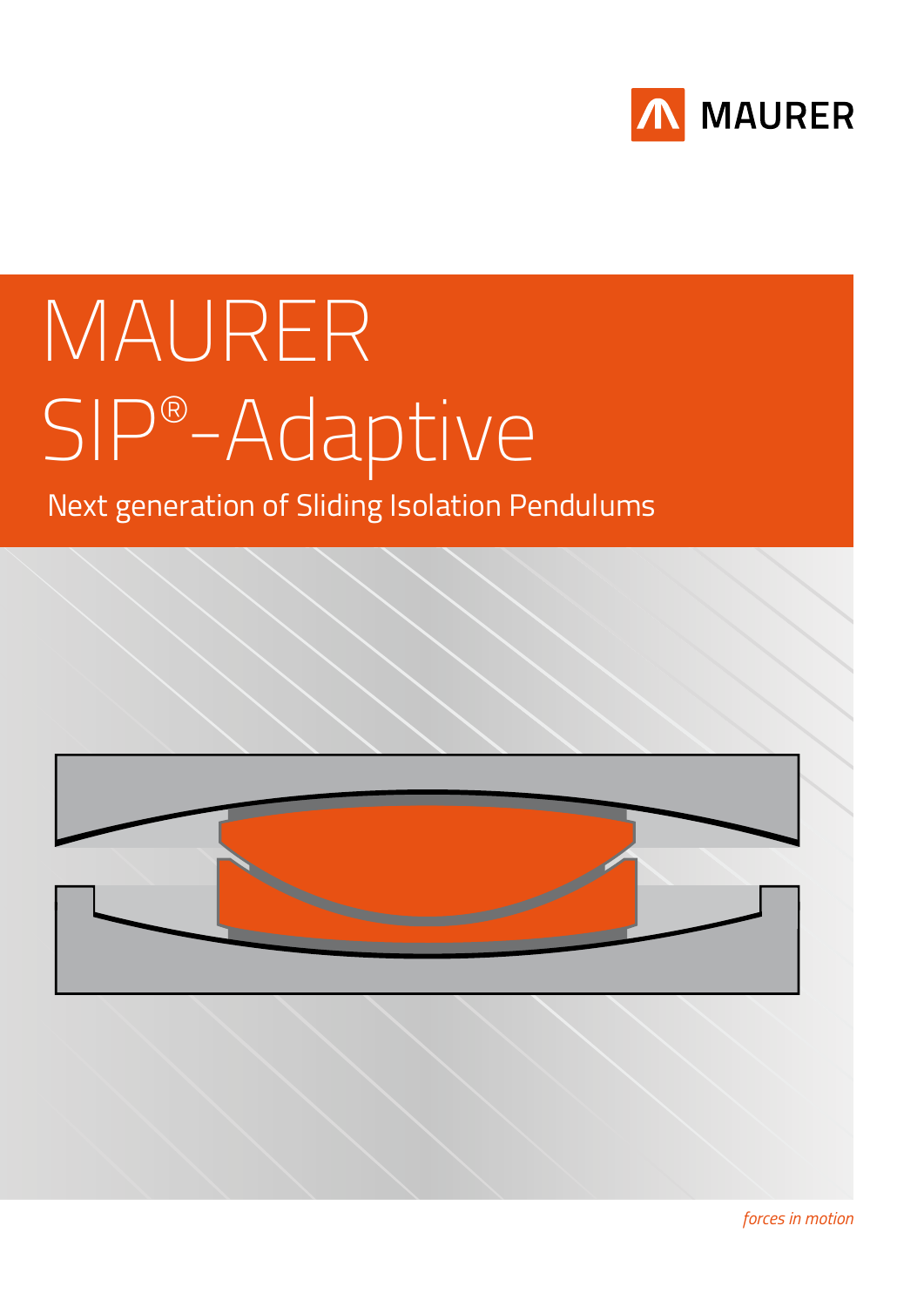

# MAURER SIP® -Adaptive

## Next generation of Sliding Isolation Pendulums

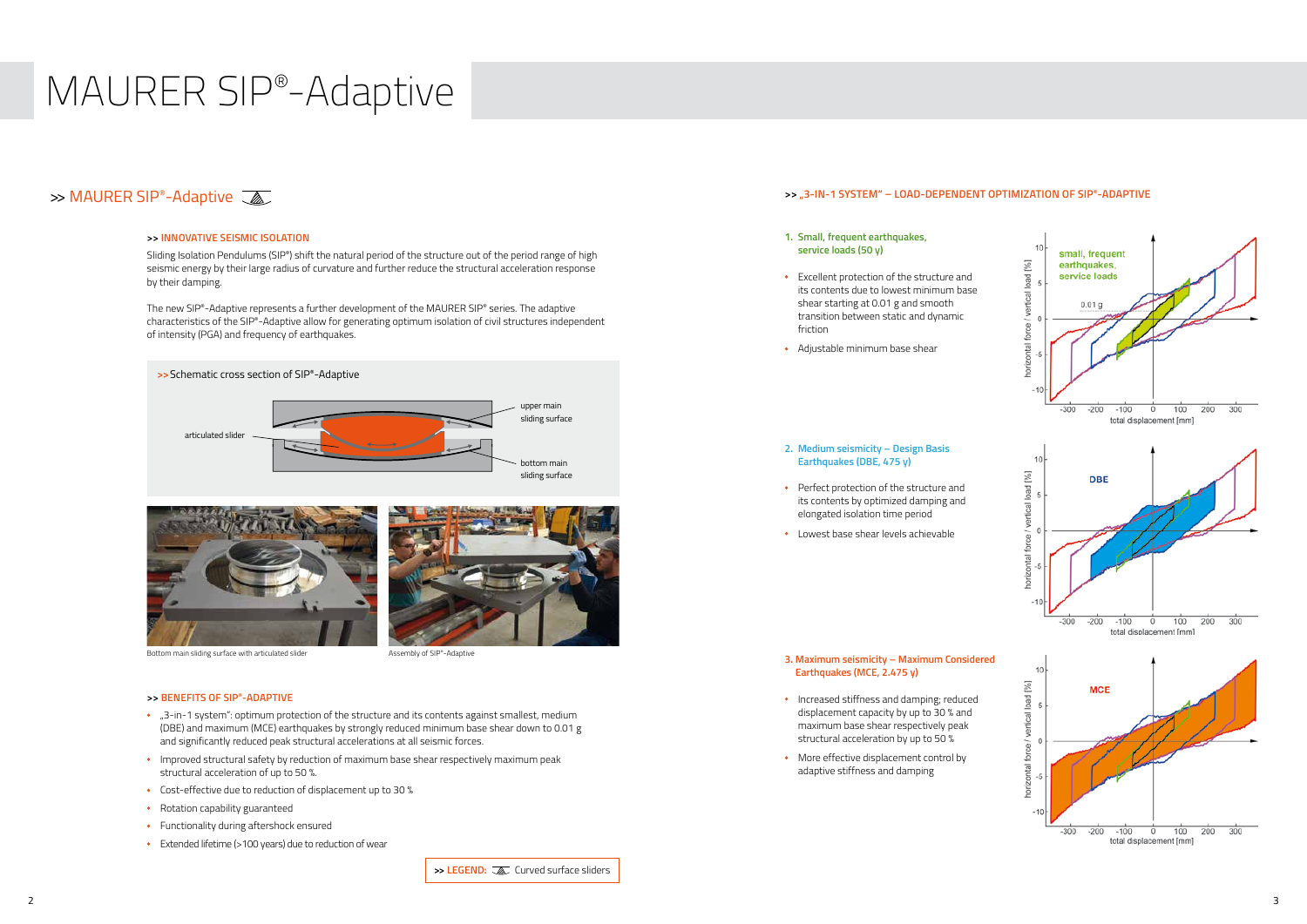## MAURER SIP®-Adaptive

### $\gg$  MAURER SIP®-Adaptive

### **>> INNOVATIVE SEISMIC ISOLATION**

Sliding Isolation Pendulums (SIP®) shift the natural period of the structure out of the period range of high seismic energy by their large radius of curvature and further reduce the structural acceleration response by their damping.

The new SIP®-Adaptive represents a further development of the MAURER SIP® series. The adaptive characteristics of the SIP®-Adaptive allow for generating optimum isolation of civil structures independent of intensity (PGA) and frequency of earthquakes.

### **>> BENEFITS OF SIP®-ADAPTIVE**

- "3-in-1 system": optimum protection of the structure and its contents against smallest, medium (DBE) and maximum (MCE) earthquakes by strongly reduced minimum base shear down to 0.01 g and significantly reduced peak structural accelerations at all seismic forces.
- Improved structural safety by reduction of maximum base shear respectively maximum peak structural acceleration of up to 50 %.
- Cost-effective due to reduction of displacement up to 30 %
- Rotation capability guaranteed
- Functionality during aftershock ensured
- Extended lifetime (>100 years) due to reduction of wear



- Increased stiffness and damping; reduced displacement capacity by up to 30 % and maximum base shear respectively peak structural acceleration by up to 50 %
- More effective displacement control by adaptive stiffness and damping





Bottom main sliding surface with articulated slider Assembly of SIP®-Adaptive

### **>> "3-IN-1 SYSTEM" – LOAD-DEPENDENT OPTIMIZATION OF SIP®-ADAPTIVE**

- **1. Small, frequent earthquakes, service loads (50 y)**
- Excellent protection of the structure and its contents due to lowest minimum base shear starting at 0.01 g and smooth transition between static and dynamic friction
- Adjustable minimum base shear
- **2. Medium seismicity Design Basis Earthquakes (DBE, 475 y)**
- Perfect protection of the structure and its contents by optimized damping and elongated isolation time period
- Lowest base shear levels achievable

### **3. Maximum seismicity – Maximum Considered Earthquakes (MCE, 2.475 y)**

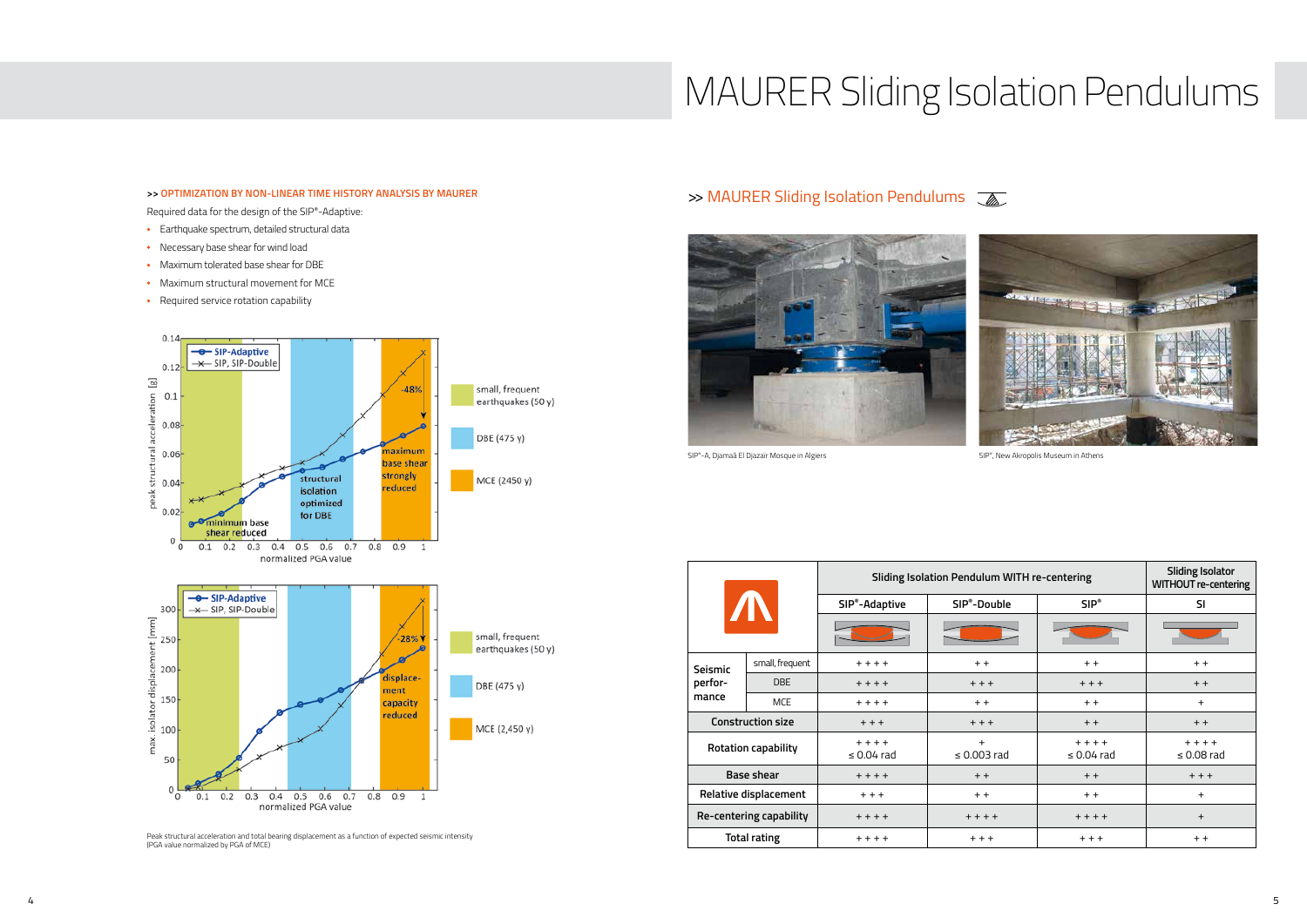## MAURER Sliding Isolation Pendulums

### **>> OPTIMIZATION BY NON-LINEAR TIME HISTORY ANALYSIS BY MAURER**

- Earthquake spectrum, detailed structural data
- Necessary base shear for wind load
- Maximum tolerated base shear for DBE
- Maximum structural movement for MCE
- Required service rotation capability



### >> MAURER Sliding Isolation Pendulums  $\sqrt{\mathbb{Z}}$



SIP®-A, Djamaâ El Djazaïr Mosque in Algiers SIP®, New Akropolis Museum in Athens

Required data for the design of the SIP®-Adaptive:

Peak structural acceleration and total bearing displacement as a function of expected seismic intensity (PGA value normalized by PGA of MCE)

|                              |                 | <b>Sliding Isolation Pendulum WITH re-centering</b> |                          |                              | <b>Sliding Isolator</b><br><b>WITHOUT re-centering</b> |
|------------------------------|-----------------|-----------------------------------------------------|--------------------------|------------------------------|--------------------------------------------------------|
|                              |                 | SIP <sup>®</sup> -Adaptive                          | SIP <sup>®</sup> -Double | $SIP^*$                      | <b>SI</b>                                              |
|                              |                 |                                                     |                          |                              |                                                        |
| Seismic<br>perfor-<br>mance  | small, frequent | $+ + + +$                                           | $+ +$                    | $+ +$                        | $+ +$                                                  |
|                              | DBE             | $+ + + +$                                           | $++$                     | $++$                         | $+ +$                                                  |
|                              | <b>MCE</b>      | $+ + + +$                                           | $+ +$                    | $+ +$                        | $+$                                                    |
| <b>Construction size</b>     |                 | $++$                                                | $++$                     | $+ +$                        | $+ +$                                                  |
| <b>Rotation capability</b>   |                 | $+ + + +$<br>$\leq 0.04$ rad                        | $+$<br>$\leq$ 0.003 rad  | $+ + + +$<br>$\leq 0.04$ rad | $+ + + +$<br>$\leq$ 0.08 rad                           |
| <b>Base shear</b>            |                 | $+ + + +$                                           | $+ +$                    | $+ +$                        | $++$                                                   |
| <b>Relative displacement</b> |                 | $+ + +$                                             | $+ +$                    | $+ +$                        | $\ddot{}$                                              |
| Re-centering capability      |                 | $+ + + +$                                           | $+ + + +$                | $+ + + +$                    | $\ddot{}$                                              |
| <b>Total rating</b>          |                 | $+ + + +$                                           | $+ + +$                  | $+ + +$                      | $+ +$                                                  |





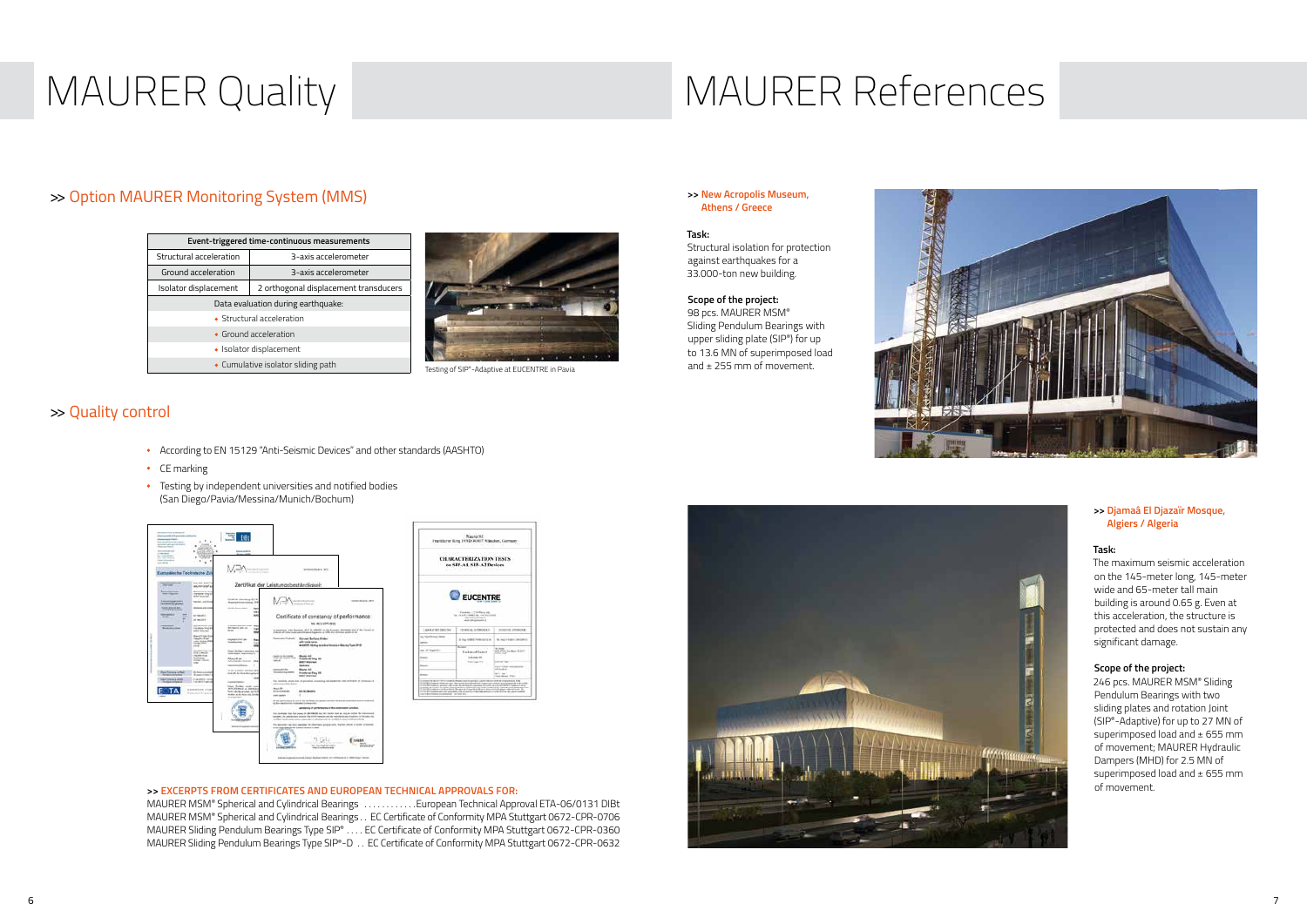## MAURER Quality MAURER References

- According to EN 15129 "Anti-Seismic Devices" and other standards (AASHTO)
- CE marking
- **•** Testing by independent universities and notified bodies (San Diego/Pavia/Messina/Munich/Bochum)





### **>> EXCERPTS FROM CERTIFICATES AND EUROPEAN TECHNICAL APPROVALS FOR:**

MAURER MSM® Spherical and Cylindrical Bearings ............European Technical Approval ETA-06/0131 DIBt MAURER MSM® Spherical and Cylindrical Bearings. . . EC Certificate of Conformity MPA Stuttgart 0672-CPR-0706 MAURER Sliding Pendulum Bearings Type SIP®. . . EC Certificate of Conformity MPA Stuttgart 0672-CPR-0360 MAURER Sliding Pendulum Bearings Type SIP®-D . . EC Certificate of Conformity MPA Stuttgart 0672-CPR-0632



### >> Quality control

98 pcs. MAURER MSM® Sliding Pendulum Bearings with upper sliding plate (SIP®) for up to 13.6 MN of superimposed load Testing of SIP®-Adaptive at EUCENTRE in Pavia **and 1** and ± 255 mm of movement.

### **>> Djamaâ El Djazaïr Mosque, Algiers / Algeria**

### **Task:**

The maximum seismic acceleration on the 145-meter long, 145-meter wide and 65-meter tall main building is around 0.65 g. Even at this acceleration, the structure is protected and does not sustain any significant damage.

### **Scope of the project:**

246 pcs. MAURER MSM® Sliding Pendulum Bearings with two sliding plates and rotation Joint (SIP®-Adaptive) for up to 27 MN of superimposed load and  $\pm$  655 mm of movement; MAURER Hydraulic Dampers (MHD) for 2.5 MN of superimposed load and  $\pm$  655 mm of movement.

### **>> New Acropolis Museum, Athens / Greece**

### **Task:**

Structural isolation for protection against earthquakes for a 33.000-ton new building.

### **Scope of the project:**

| Event-triggered time-continuous measurements |                                       |  |  |  |
|----------------------------------------------|---------------------------------------|--|--|--|
| Structural acceleration                      | 3-axis accelerometer                  |  |  |  |
| Ground acceleration                          | 3-axis accelerometer                  |  |  |  |
| Isolator displacement                        | 2 orthogonal displacement transducers |  |  |  |
| Data evaluation during earthquake:           |                                       |  |  |  |
| • Structural acceleration                    |                                       |  |  |  |
| • Ground acceleration                        |                                       |  |  |  |
| • Isolator displacement                      |                                       |  |  |  |
| • Cumulative isolator sliding path           |                                       |  |  |  |



### >> Option MAURER Monitoring System (MMS)